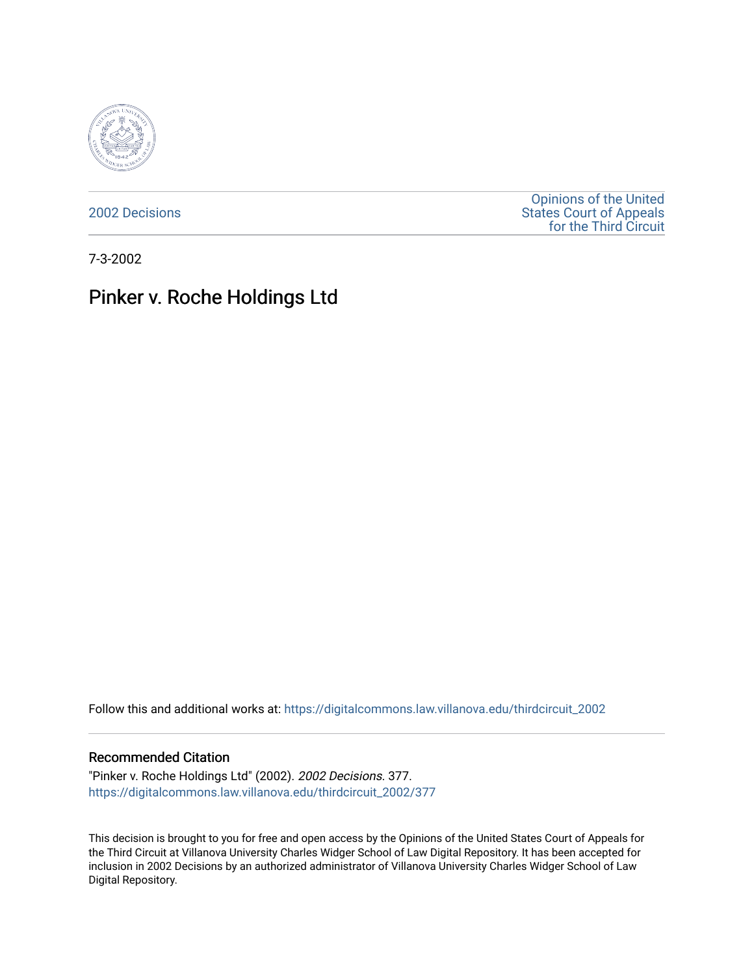

[2002 Decisions](https://digitalcommons.law.villanova.edu/thirdcircuit_2002)

[Opinions of the United](https://digitalcommons.law.villanova.edu/thirdcircuit)  [States Court of Appeals](https://digitalcommons.law.villanova.edu/thirdcircuit)  [for the Third Circuit](https://digitalcommons.law.villanova.edu/thirdcircuit) 

7-3-2002

# Pinker v. Roche Holdings Ltd

Follow this and additional works at: [https://digitalcommons.law.villanova.edu/thirdcircuit\\_2002](https://digitalcommons.law.villanova.edu/thirdcircuit_2002?utm_source=digitalcommons.law.villanova.edu%2Fthirdcircuit_2002%2F377&utm_medium=PDF&utm_campaign=PDFCoverPages) 

#### Recommended Citation

"Pinker v. Roche Holdings Ltd" (2002). 2002 Decisions. 377. [https://digitalcommons.law.villanova.edu/thirdcircuit\\_2002/377](https://digitalcommons.law.villanova.edu/thirdcircuit_2002/377?utm_source=digitalcommons.law.villanova.edu%2Fthirdcircuit_2002%2F377&utm_medium=PDF&utm_campaign=PDFCoverPages)

This decision is brought to you for free and open access by the Opinions of the United States Court of Appeals for the Third Circuit at Villanova University Charles Widger School of Law Digital Repository. It has been accepted for inclusion in 2002 Decisions by an authorized administrator of Villanova University Charles Widger School of Law Digital Repository.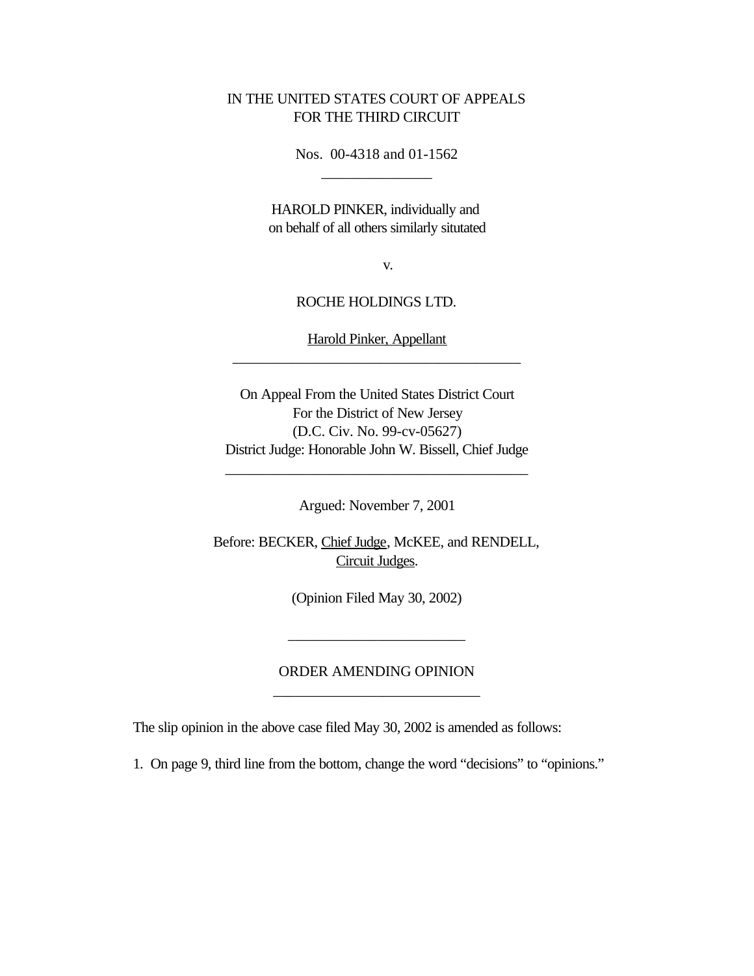#### IN THE UNITED STATES COURT OF APPEALS FOR THE THIRD CIRCUIT

Nos. 00-4318 and 01-1562 \_\_\_\_\_\_\_\_\_\_\_\_\_\_\_

HAROLD PINKER, individually and on behalf of all others similarly situtated

v.

#### ROCHE HOLDINGS LTD.

Harold Pinker, Appellant \_\_\_\_\_\_\_\_\_\_\_\_\_\_\_\_\_\_\_\_\_\_\_\_\_\_\_\_\_\_\_\_\_\_\_\_\_\_\_

On Appeal From the United States District Court For the District of New Jersey (D.C. Civ. No. 99-cv-05627) District Judge: Honorable John W. Bissell, Chief Judge

Argued: November 7, 2001

\_\_\_\_\_\_\_\_\_\_\_\_\_\_\_\_\_\_\_\_\_\_\_\_\_\_\_\_\_\_\_\_\_\_\_\_\_\_\_\_\_

Before: BECKER, Chief Judge, McKEE, and RENDELL, Circuit Judges.

(Opinion Filed May 30, 2002)

### ORDER AMENDING OPINION \_\_\_\_\_\_\_\_\_\_\_\_\_\_\_\_\_\_\_\_\_\_\_\_\_\_\_\_

\_\_\_\_\_\_\_\_\_\_\_\_\_\_\_\_\_\_\_\_\_\_\_\_

The slip opinion in the above case filed May 30, 2002 is amended as follows:

1. On page 9, third line from the bottom, change the word "decisions" to "opinions."